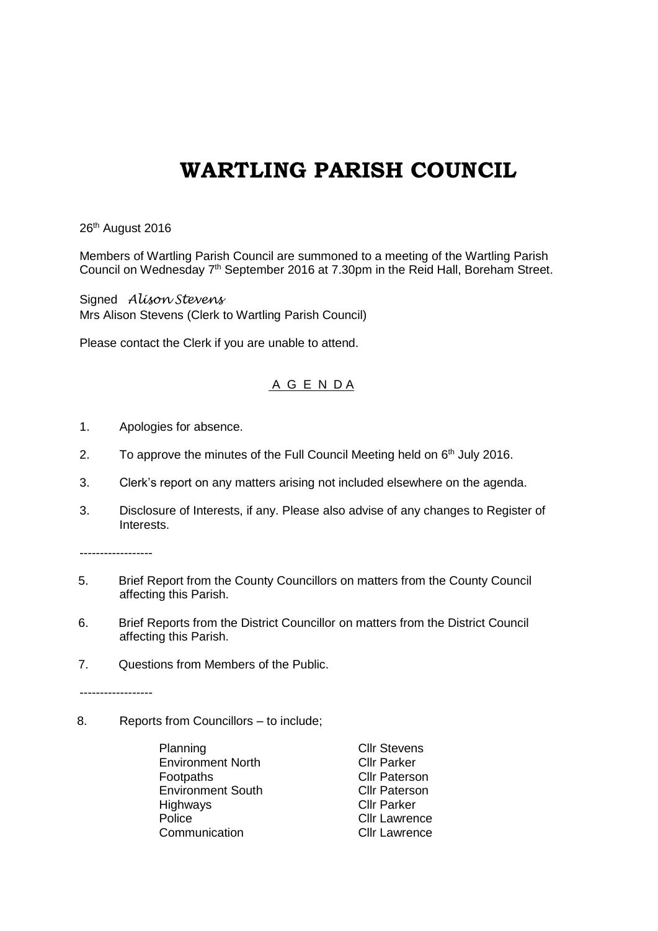## **WARTLING PARISH COUNCIL**

26<sup>th</sup> August 2016

Members of Wartling Parish Council are summoned to a meeting of the Wartling Parish Council on Wednesday 7<sup>th</sup> September 2016 at 7.30pm in the Reid Hall, Boreham Street.

Signed *Alison Stevens* Mrs Alison Stevens (Clerk to Wartling Parish Council)

Please contact the Clerk if you are unable to attend.

## A G E N D A

- 1. Apologies for absence.
- 2. To approve the minutes of the Full Council Meeting held on  $6<sup>th</sup>$  July 2016.
- 3. Clerk's report on any matters arising not included elsewhere on the agenda.
- 3. Disclosure of Interests, if any. Please also advise of any changes to Register of Interests.

------------------

- 5. Brief Report from the County Councillors on matters from the County Council affecting this Parish.
- 6. Brief Reports from the District Councillor on matters from the District Council affecting this Parish.
- 7. Questions from Members of the Public.

------------------

8. Reports from Councillors – to include;

Planning Cllr Stevens Environment North Cllr Parker Footpaths **CII** CIII Paterson Environment South Cllr Paterson Highways Cllr Parker Police **Cllr** Lawrence Communication Cllr Lawrence